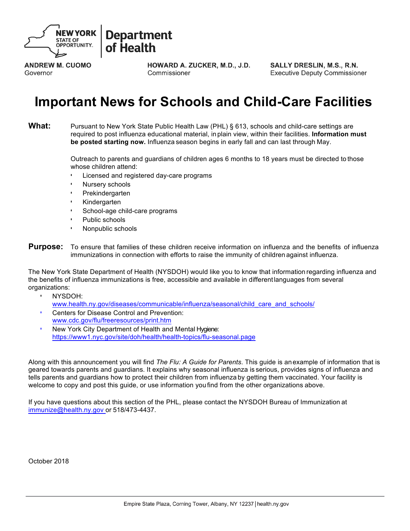

#### **Department** of Health

**ANDREW M. CUOMO** Governor

**HOWARD A. ZUCKER, M.D., J.D.** Commissioner

**SALLY DRESLIN, M.S., R.N. Executive Deputy Commissioner** 

## **Important News for Schools and Child-Care Facilities**

**What:** Pursuant to New York State Public Health Law (PHL) § 613, schools and child-care settings are required to post influenza educational material, inplain view, within their facilities. **Information must be posted starting now.** Influenza season begins in early fall and can last through May.

> Outreach to parents and guardians of children ages 6 months to 18 years must be directed to those whose children attend:

- Licensed and registered day-care programs
- Nursery schools
- **Prekindergarten**
- Kindergarten
- School-age child-care programs
- Public schools
- Nonpublic schools
- **Purpose:** To ensure that families of these children receive information on influenza and the benefits of influenza immunizations in connection with efforts to raise the immunity of children against influenza.

The New York State Department of Health (NYSDOH) would like you to know that information regarding influenza and the benefits of influenza immunizations is free, accessible and available in differentlanguages from several organizations:

- NYSDOH:
	- www.health.ny.gov/diseases/communicable/influenza/seasonal/child\_care\_and\_schools/
- Centers f[or Disease Control and Prevention:](http://www.health.ny.gov/diseases/communicable/influenza/seasonal/child_care_and_schools/) [www.cdc.gov/flu/freeresources/print.htm](http://www.health.ny.gov/diseases/communicable/influenza/seasonal/child_care_and_schools/)
- New York City Department of Health and Mental Hygiene: [https://www1.nyc.gov/site/doh/health/hea](http://www.cdc.gov/flu/freeresources/print.htm)lth[-topics/flu-seasonal.page](http://www.cdc.gov/flu/freeresources/print.htm)

Along with this announcement you will find *The Flu: A Guide for Parents*. This guide is anexample of information that is geared towards parents and guardians. It explains why seasonal influenza is serious, provides signs of influenza and tells parents and guardians how to protect their children from influenza by getting them vaccinated. Your facility is welcome to copy and post this guide, or use information you find from the other organizations above.

If you have questions about this section of the PHL, please contact the NYSDOH Bureau of Immunization at immunize@health.ny.gov or 518/473-4437.

October 2018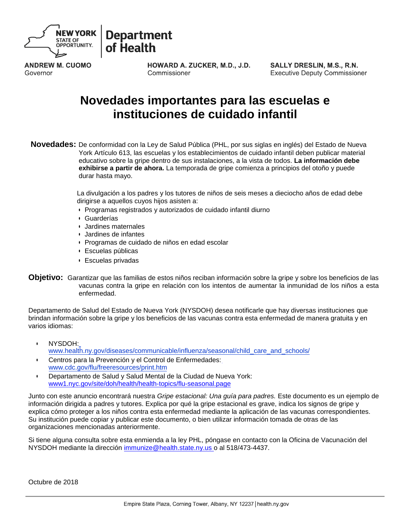

**Department** of Health

**ANDREW M. CUOMO** Governor

HOWARD A. ZUCKER, M.D., J.D. Commissioner

**SALLY DRESLIN, M.S., R.N. Executive Deputy Commissioner** 

### **Novedades importantes para las escuelas e instituciones de cuidado infantil**

**Novedades:** De conformidad con la Ley de Salud Pública (PHL, por sus siglas en inglés) del Estado de Nueva York Artículo 613, las escuelas y los establecimientos de cuidado infantil deben publicar material educativo sobre la gripe dentro de sus instalaciones, a la vista de todos. **La información debe exhibirse a partir de ahora.** La temporada de gripe comienza a principios del otoño y puede durar hasta mayo.

> La divulgación a los padres y los tutores de niños de seis meses a dieciocho años de edad debe dirigirse a aquellos cuyos hijos asisten a:

- Programas registrados y autorizados de cuidado infantil diurno
- Guarderías
- Jardines maternales
- Jardines de infantes
- Programas de cuidado de niños en edad escolar
- Escuelas públicas
- Escuelas privadas
- **Objetivo:** Garantizar que las familias de estos niños reciban información sobre la gripe y sobre los beneficios de las vacunas contra la gripe en relación con los intentos de aumentar la inmunidad de los niños a esta enfermedad.

Departamento de Salud del Estado de Nueva York (NYSDOH) desea notificarle que hay diversas instituciones que brindan información sobre la gripe y los beneficios de las vacunas contra esta enfermedad de manera gratuita y en varios idiomas:

- NYSDOH[:](http://www.health.ny.gov/diseases/communicable/influenza/seasonal/child_care_and_schools/) [www.health.ny.gov/diseases/communicable/influenza/seasonal/child\\_care\\_and\\_schools/](http://www.health.ny.gov/diseases/communicable/influenza/seasonal/child_care_and_schools/)
- Centros para la Prevención y el Control de Enfermedades: [www.cdc.gov/flu/freeresources/print.htm](http://www.cdc.gov/flu/freeresources/print.htm)
- Departamento de Salud y Salud Mental de la Ciudad de Nueva York: www1.nyc.gov/site/doh/health/health-topics/flu-seasonal.page

Junto con este anuncio encontrará nuestra *Gripe estacional: Una guía para padres.* Este documento es un ejemplo de información dirigida a padres y tutores. Explica por qué la gripe estacional es grave, indica los signos de gripe y explica cómo proteger a los niños contra esta enfermedad mediante la aplicación de las vacunas correspondientes. Su institución puede copiar y publicar este documento, o bien utilizar información tomada de otras de las organizaciones mencionadas anteriormente.

Si tiene alguna consulta sobre esta enmienda a la ley PHL, póngase en contacto con la Oficina de Vacunación del NYSDOH mediante la dirección [immunize@health.state.ny.us o a](mailto:immunize@health.state.ny.uso)l 518/473-4437.

Octubre de 2018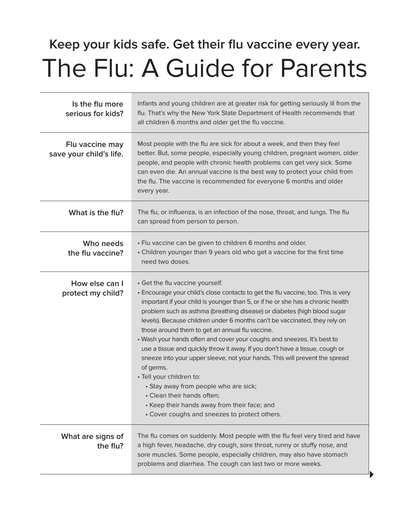## **Keep your kids safe. Get their flu vaccine every year.** The Flu: A Guide for Parents

| Is the flu more<br>serious for kids?       | Infants and young children are at greater risk for getting seriously ill from the<br>flu. That's why the New York State Department of Health recommends that<br>all children 6 months and older get the flu vaccine.                                                                                                                                                                                                                                                                                                                                                                                                                                                                                                                                                                                                                                                            |
|--------------------------------------------|---------------------------------------------------------------------------------------------------------------------------------------------------------------------------------------------------------------------------------------------------------------------------------------------------------------------------------------------------------------------------------------------------------------------------------------------------------------------------------------------------------------------------------------------------------------------------------------------------------------------------------------------------------------------------------------------------------------------------------------------------------------------------------------------------------------------------------------------------------------------------------|
| Flu vaccine may<br>save your child's life. | Most people with the flu are sick for about a week, and then they feel<br>better. But, some people, especially young children, pregnant women, older<br>people, and people with chronic health problems can get very sick. Some<br>can even die. An annual vaccine is the best way to protect your child from<br>the flu. The vaccine is recommended for everyone 6 months and older<br>every year.                                                                                                                                                                                                                                                                                                                                                                                                                                                                             |
| What is the flu?                           | The flu, or influenza, is an infection of the nose, throat, and lungs. The flu<br>can spread from person to person.                                                                                                                                                                                                                                                                                                                                                                                                                                                                                                                                                                                                                                                                                                                                                             |
| Who needs<br>the flu vaccine?              | • Flu vaccine can be given to children 6 months and older.<br>• Children younger than 9 years old who get a vaccine for the first time<br>need two doses.                                                                                                                                                                                                                                                                                                                                                                                                                                                                                                                                                                                                                                                                                                                       |
| How else can I<br>protect my child?        | • Get the flu vaccine yourself.<br>• Encourage your child's close contacts to get the flu vaccine, too. This is very<br>important if your child is younger than 5, or if he or she has a chronic health<br>problem such as asthma (breathing disease) or diabetes (high blood sugar<br>levels). Because children under 6 months can't be vaccinated, they rely on<br>those around them to get an annual flu vaccine.<br>• Wash your hands often and cover your coughs and sneezes. It's best to<br>use a tissue and quickly throw it away. If you don't have a tissue, cough or<br>sneeze into your upper sleeve, not your hands. This will prevent the spread<br>of germs.<br>· Tell your children to:<br>· Stay away from people who are sick;<br>• Clean their hands often;<br>• Keep their hands away from their face; and<br>• Cover coughs and sneezes to protect others. |
| What are signs of<br>the flu?              | The flu comes on suddenly. Most people with the flu feel very tired and have<br>a high fever, headache, dry cough, sore throat, runny or stuffy nose, and<br>sore muscles. Some people, especially children, may also have stomach<br>problems and diarrhea. The cough can last two or more weeks.                                                                                                                                                                                                                                                                                                                                                                                                                                                                                                                                                                              |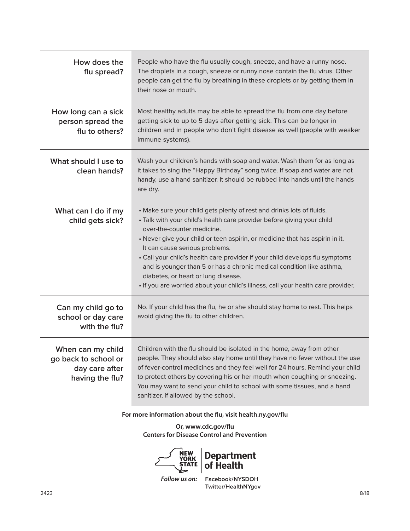| How does the<br>flu spread?                                                    | People who have the flu usually cough, sneeze, and have a runny nose.<br>The droplets in a cough, sneeze or runny nose contain the flu virus. Other<br>people can get the flu by breathing in these droplets or by getting them in<br>their nose or mouth.                                                                                                                                                                                                                                                                                                                          |
|--------------------------------------------------------------------------------|-------------------------------------------------------------------------------------------------------------------------------------------------------------------------------------------------------------------------------------------------------------------------------------------------------------------------------------------------------------------------------------------------------------------------------------------------------------------------------------------------------------------------------------------------------------------------------------|
| How long can a sick<br>person spread the<br>flu to others?                     | Most healthy adults may be able to spread the flu from one day before<br>getting sick to up to 5 days after getting sick. This can be longer in<br>children and in people who don't fight disease as well (people with weaker<br>immune systems).                                                                                                                                                                                                                                                                                                                                   |
| What should I use to<br>clean hands?                                           | Wash your children's hands with soap and water. Wash them for as long as<br>it takes to sing the "Happy Birthday" song twice. If soap and water are not<br>handy, use a hand sanitizer. It should be rubbed into hands until the hands<br>are dry.                                                                                                                                                                                                                                                                                                                                  |
| What can I do if my<br>child gets sick?                                        | • Make sure your child gets plenty of rest and drinks lots of fluids.<br>· Talk with your child's health care provider before giving your child<br>over-the-counter medicine.<br>• Never give your child or teen aspirin, or medicine that has aspirin in it.<br>It can cause serious problems.<br>• Call your child's health care provider if your child develops flu symptoms<br>and is younger than 5 or has a chronic medical condition like asthma,<br>diabetes, or heart or lung disease.<br>. If you are worried about your child's illness, call your health care provider. |
| Can my child go to<br>school or day care<br>with the flu?                      | No. If your child has the flu, he or she should stay home to rest. This helps<br>avoid giving the flu to other children.                                                                                                                                                                                                                                                                                                                                                                                                                                                            |
| When can my child<br>go back to school or<br>day care after<br>having the flu? | Children with the flu should be isolated in the home, away from other<br>people. They should also stay home until they have no fever without the use<br>of fever-control medicines and they feel well for 24 hours. Remind your child<br>to protect others by covering his or her mouth when coughing or sneezing.<br>You may want to send your child to school with some tissues, and a hand<br>sanitizer, if allowed by the school.                                                                                                                                               |

#### **For more information about the flu, visit health.ny.gov/flu**

**Or, www.cdc.gov/flu Centers for Disease Control and Prevention**



**Department of Health**

*Follow us on:* **Facebook/NYSDOH Twitter/HealthNYgov**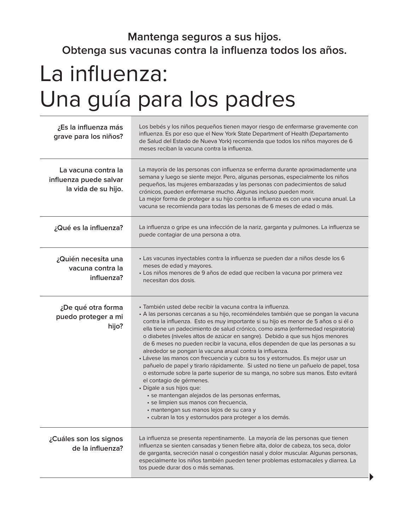## **Mantenga seguros a sus hijos. Obtenga sus vacunas contra la influenza todos los años.**

# La influenza: Una guía para los padres

| ¿Es la influenza más<br>grave para los niños?                        | Los bebés y los niños pequeños tienen mayor riesgo de enfermarse gravemente con<br>influenza. Es por eso que el New York State Department of Health (Departamento<br>de Salud del Estado de Nueva York) recomienda que todos los niños mayores de 6<br>meses reciban la vacuna contra la influenza.                                                                                                                                                                                                                                                                                                                                                                                                                                                                                                                                                                                                                                                                                                                                                                                         |
|----------------------------------------------------------------------|---------------------------------------------------------------------------------------------------------------------------------------------------------------------------------------------------------------------------------------------------------------------------------------------------------------------------------------------------------------------------------------------------------------------------------------------------------------------------------------------------------------------------------------------------------------------------------------------------------------------------------------------------------------------------------------------------------------------------------------------------------------------------------------------------------------------------------------------------------------------------------------------------------------------------------------------------------------------------------------------------------------------------------------------------------------------------------------------|
| La vacuna contra la<br>influenza puede salvar<br>la vida de su hijo. | La mayoría de las personas con influenza se enferma durante aproximadamente una<br>semana y luego se siente mejor. Pero, algunas personas, especialmente los niños<br>pequeños, las mujeres embarazadas y las personas con padecimientos de salud<br>crónicos, pueden enfermarse mucho. Algunas incluso pueden morir.<br>La mejor forma de proteger a su hijo contra la influenza es con una vacuna anual. La<br>vacuna se recomienda para todas las personas de 6 meses de edad o más.                                                                                                                                                                                                                                                                                                                                                                                                                                                                                                                                                                                                     |
| ¿Qué es la influenza?                                                | La influenza o gripe es una infección de la nariz, garganta y pulmones. La influenza se<br>puede contagiar de una persona a otra.                                                                                                                                                                                                                                                                                                                                                                                                                                                                                                                                                                                                                                                                                                                                                                                                                                                                                                                                                           |
| ¿Quién necesita una<br>vacuna contra la<br>influenza?                | · Las vacunas inyectables contra la influenza se pueden dar a niños desde los 6<br>meses de edad y mayores.<br>· Los niños menores de 9 años de edad que reciben la vacuna por primera vez<br>necesitan dos dosis.                                                                                                                                                                                                                                                                                                                                                                                                                                                                                                                                                                                                                                                                                                                                                                                                                                                                          |
| ¿De qué otra forma<br>puedo proteger a mi<br>hijo?                   | · También usted debe recibir la vacuna contra la influenza.<br>· A las personas cercanas a su hijo, recomiéndeles también que se pongan la vacuna<br>contra la influenza. Esto es muy importante si su hijo es menor de 5 años o si él o<br>ella tiene un padecimiento de salud crónico, como asma (enfermedad respiratoria)<br>o diabetes (niveles altos de azúcar en sangre). Debido a que sus hijos menores<br>de 6 meses no pueden recibir la vacuna, ellos dependen de que las personas a su<br>alrededor se pongan la vacuna anual contra la influenza.<br>· Lávese las manos con frecuencia y cubra su tos y estornudos. Es mejor usar un<br>pañuelo de papel y tirarlo rápidamente. Si usted no tiene un pañuelo de papel, tosa<br>o estornude sobre la parte superior de su manga, no sobre sus manos. Esto evitará<br>el contagio de gérmenes.<br>· Dígale a sus hijos que:<br>· se mantengan alejados de las personas enfermas,<br>· se limpien sus manos con frecuencia,<br>· mantengan sus manos lejos de su cara y<br>· cubran la tos y estornudos para proteger a los demás. |
| ¿Cuáles son los signos<br>de la influenza?                           | La influenza se presenta repentinamente. La mayoría de las personas que tienen<br>influenza se sienten cansadas y tienen fiebre alta, dolor de cabeza, tos seca, dolor<br>de garganta, secreción nasal o congestión nasal y dolor muscular. Algunas personas,<br>especialmente los niños también pueden tener problemas estomacales y diarrea. La<br>tos puede durar dos o más semanas.                                                                                                                                                                                                                                                                                                                                                                                                                                                                                                                                                                                                                                                                                                     |